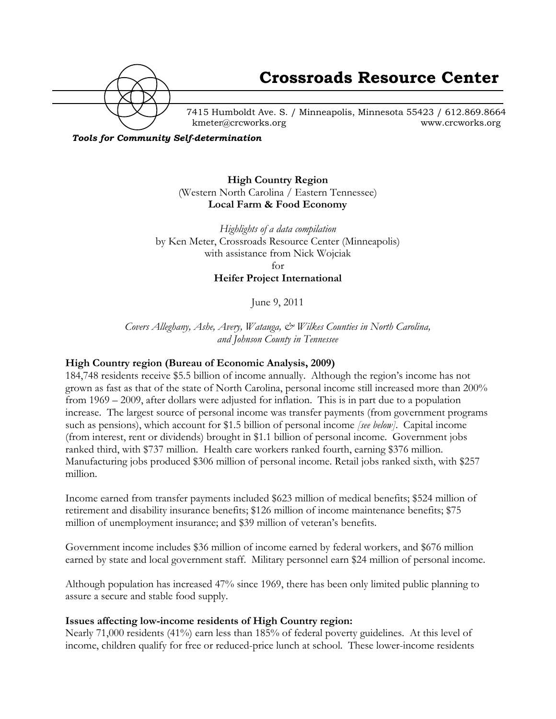

# **Crossroads Resource Center**

7415 Humboldt Ave. S. / Minneapolis, Minnesota 55423 / 612.869.8664 kmeter@crcworks.org www.crcworks.org

*Tools for Community Self-determination*

**High Country Region** (Western North Carolina / Eastern Tennessee) **Local Farm & Food Economy**

*Highlights of a data compilation* by Ken Meter, Crossroads Resource Center (Minneapolis) with assistance from Nick Wojciak

for **Heifer Project International**

June 9, 2011

*Covers Alleghany, Ashe, Avery, Watauga, & Wilkes Counties in North Carolina, and Johnson County in Tennessee*

#### **High Country region (Bureau of Economic Analysis, 2009)**

184,748 residents receive \$5.5 billion of income annually. Although the region's income has not grown as fast as that of the state of North Carolina, personal income still increased more than 200% from 1969 – 2009, after dollars were adjusted for inflation. This is in part due to a population increase. The largest source of personal income was transfer payments (from government programs such as pensions), which account for \$1.5 billion of personal income *[see below]*. Capital income (from interest, rent or dividends) brought in \$1.1 billion of personal income. Government jobs ranked third, with \$737 million. Health care workers ranked fourth, earning \$376 million. Manufacturing jobs produced \$306 million of personal income. Retail jobs ranked sixth, with \$257 million.

Income earned from transfer payments included \$623 million of medical benefits; \$524 million of retirement and disability insurance benefits; \$126 million of income maintenance benefits; \$75 million of unemployment insurance; and \$39 million of veteran's benefits.

Government income includes \$36 million of income earned by federal workers, and \$676 million earned by state and local government staff. Military personnel earn \$24 million of personal income.

Although population has increased 47% since 1969, there has been only limited public planning to assure a secure and stable food supply.

#### **Issues affecting low-income residents of High Country region:**

Nearly 71,000 residents (41%) earn less than 185% of federal poverty guidelines. At this level of income, children qualify for free or reduced-price lunch at school. These lower-income residents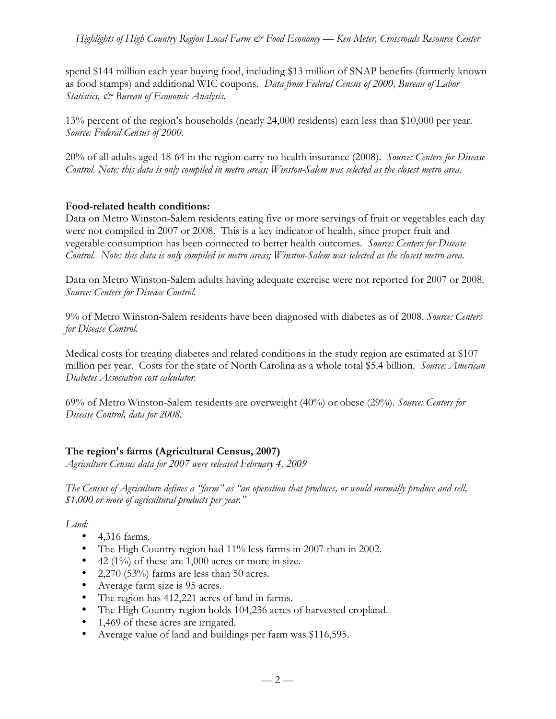*Highlights of High Country Region Local Farm & Food Economy — Ken Meter, Crossroads Resource Center*

spend \$144 million each year buying food, including \$13 million of SNAP benefits (formerly known as food stamps) and additional WIC coupons. *Data from Federal Census of 2000, Bureau of Labor Statistics, & Bureau of Economic Analysis.*

13% percent of the region's households (nearly 24,000 residents) earn less than \$10,000 per year. *Source: Federal Census of 2000.*

20% of all adults aged 18-64 in the region carry no health insurance (2008). *Source: Centers for Disease Control. Note: this data is only compiled in metro areas; Winston-Salem was selected as the closest metro area.*

#### **Food-related health conditions:**

Data on Metro Winston-Salem residents eating five or more servings of fruit or vegetables each day were not compiled in 2007 or 2008. This is a key indicator of health, since proper fruit and vegetable consumption has been connected to better health outcomes. *Source: Centers for Disease Control. Note: this data is only compiled in metro areas; Winston-Salem was selected as the closest metro area.*

Data on Metro Winston-Salem adults having adequate exercise were not reported for 2007 or 2008. *Source: Centers for Disease Control.*

9% of Metro Winston-Salem residents have been diagnosed with diabetes as of 2008. *Source: Centers for Disease Control.*

Medical costs for treating diabetes and related conditions in the study region are estimated at \$107 million per year. Costs for the state of North Carolina as a whole total \$5.4 billion. *Source: American Diabetes Association cost calculator.*

69% of Metro Winston-Salem residents are overweight (40%) or obese (29%). *Source: Centers for Disease Control, data for 2008.*

# **The region's farms (Agricultural Census, 2007)**

*Agriculture Census data for 2007 were released February 4, 2009*

*The Census of Agriculture defines a "farm" as "an operation that produces, or would normally produce and sell, \$1,000 or more of agricultural products per year."*

#### *Land:*

- 4,316 farms.
- The High Country region had 11% less farms in 2007 than in 2002.
- 42 (1%) of these are 1,000 acres or more in size.
- 2,270 (53%) farms are less than 50 acres.
- Average farm size is 95 acres.
- The region has 412,221 acres of land in farms.
- The High Country region holds 104,236 acres of harvested cropland.
- 1,469 of these acres are irrigated.
- Average value of land and buildings per farm was \$116,595.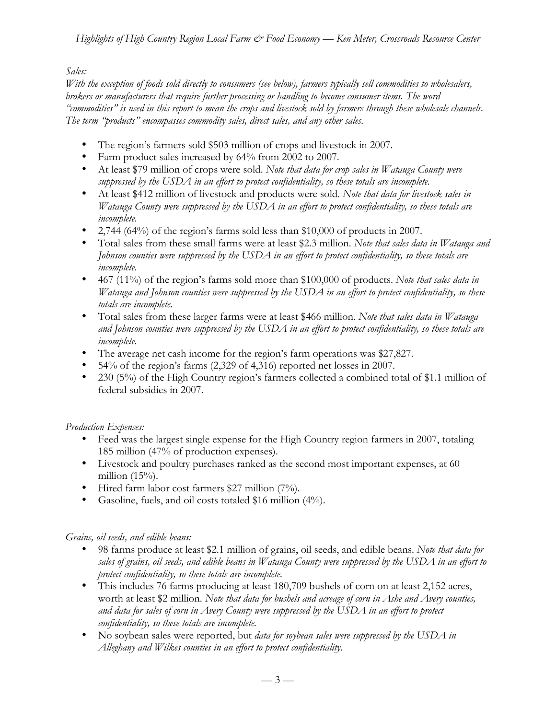# *Sales:*

*With the exception of foods sold directly to consumers (see below), farmers typically sell commodities to wholesalers, brokers or manufacturers that require further processing or handling to become consumer items. The word "commodities" is used in this report to mean the crops and livestock sold by farmers through these wholesale channels. The term "products" encompasses commodity sales, direct sales, and any other sales.*

- The region's farmers sold \$503 million of crops and livestock in 2007.
- Farm product sales increased by 64% from 2002 to 2007.
- At least \$79 million of crops were sold. *Note that data for crop sales in Watauga County were suppressed by the USDA in an effort to protect confidentiality, so these totals are incomplete.*
- At least \$412 million of livestock and products were sold. *Note that data for livestock sales in Watauga County were suppressed by the USDA in an effort to protect confidentiality, so these totals are incomplete.*
- 2,744 (64%) of the region's farms sold less than \$10,000 of products in 2007.
- Total sales from these small farms were at least \$2.3 million. *Note that sales data in Watauga and Johnson counties were suppressed by the USDA in an effort to protect confidentiality, so these totals are incomplete.*
- 467 (11%) of the region's farms sold more than \$100,000 of products. *Note that sales data in Watauga and Johnson counties were suppressed by the USDA in an effort to protect confidentiality, so these totals are incomplete.*
- Total sales from these larger farms were at least \$466 million. *Note that sales data in Watauga and Johnson counties were suppressed by the USDA in an effort to protect confidentiality, so these totals are incomplete.*
- The average net cash income for the region's farm operations was \$27,827.
- 54% of the region's farms (2,329 of 4,316) reported net losses in 2007.
- 230 (5%) of the High Country region's farmers collected a combined total of \$1.1 million of federal subsidies in 2007.

# *Production Expenses:*

- Feed was the largest single expense for the High Country region farmers in 2007, totaling 185 million (47% of production expenses).
- Livestock and poultry purchases ranked as the second most important expenses, at 60 million  $(15%)$ .
- Hired farm labor cost farmers \$27 million (7%).
- Gasoline, fuels, and oil costs totaled \$16 million (4%).

# *Grains, oil seeds, and edible beans:*

- 98 farms produce at least \$2.1 million of grains, oil seeds, and edible beans. *Note that data for sales of grains, oil seeds, and edible beans in Watauga County were suppressed by the USDA in an effort to protect confidentiality, so these totals are incomplete.*
- This includes 76 farms producing at least 180,709 bushels of corn on at least 2,152 acres, worth at least \$2 million. *Note that data for bushels and acreage of corn in Ashe and Avery counties, and data for sales of corn in Avery County were suppressed by the USDA in an effort to protect confidentiality, so these totals are incomplete.*
- No soybean sales were reported, but *data for soybean sales were suppressed by the USDA in Alleghany and Wilkes counties in an effort to protect confidentiality.*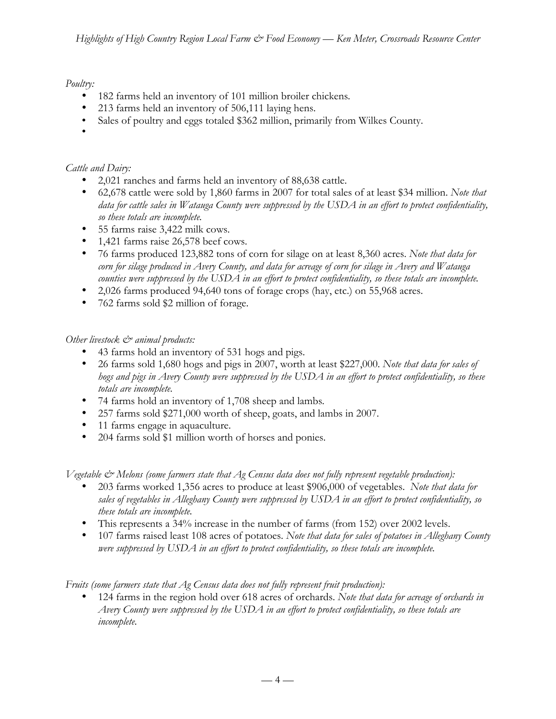## *Poultry:*

- 182 farms held an inventory of 101 million broiler chickens*.*
- 213 farms held an inventory of 506,111 laying hens.
- Sales of poultry and eggs totaled \$362 million, primarily from Wilkes County.
- •

# *Cattle and Dairy:*

- 2,021 ranches and farms held an inventory of 88,638 cattle.
- 62,678 cattle were sold by 1,860 farms in 2007 for total sales of at least \$34 million. *Note that data for cattle sales in Watauga County were suppressed by the USDA in an effort to protect confidentiality, so these totals are incomplete.*
- 55 farms raise 3,422 milk cows.
- 1,421 farms raise 26,578 beef cows.
- 76 farms produced 123,882 tons of corn for silage on at least 8,360 acres. *Note that data for corn for silage produced in Avery County, and data for acreage of corn for silage in Avery and Watauga counties were suppressed by the USDA in an effort to protect confidentiality, so these totals are incomplete.*
- 2,026 farms produced 94,640 tons of forage crops (hay, etc.) on 55,968 acres.
- 762 farms sold \$2 million of forage.

# *Other livestock & animal products:*

- 43 farms hold an inventory of 531 hogs and pigs.
- 26 farms sold 1,680 hogs and pigs in 2007, worth at least \$227,000. *Note that data for sales of hogs and pigs in Avery County were suppressed by the USDA in an effort to protect confidentiality, so these totals are incomplete.*
- 74 farms hold an inventory of 1,708 sheep and lambs*.*
- 257 farms sold \$271,000 worth of sheep, goats, and lambs in 2007.
- 11 farms engage in aquaculture.
- 204 farms sold \$1 million worth of horses and ponies.

*Vegetable & Melons (some farmers state that Ag Census data does not fully represent vegetable production):*

- 203 farms worked 1,356 acres to produce at least \$906,000 of vegetables. *Note that data for sales of vegetables in Alleghany County were suppressed by USDA in an effort to protect confidentiality, so these totals are incomplete.*
- This represents a 34% increase in the number of farms (from 152) over 2002 levels.
- 107 farms raised least 108 acres of potatoes. *Note that data for sales of potatoes in Alleghany County were suppressed by USDA in an effort to protect confidentiality, so these totals are incomplete.*

*Fruits (some farmers state that Ag Census data does not fully represent fruit production):*

• 124 farms in the region hold over 618 acres of orchards. *Note that data for acreage of orchards in Avery County were suppressed by the USDA in an effort to protect confidentiality, so these totals are incomplete.*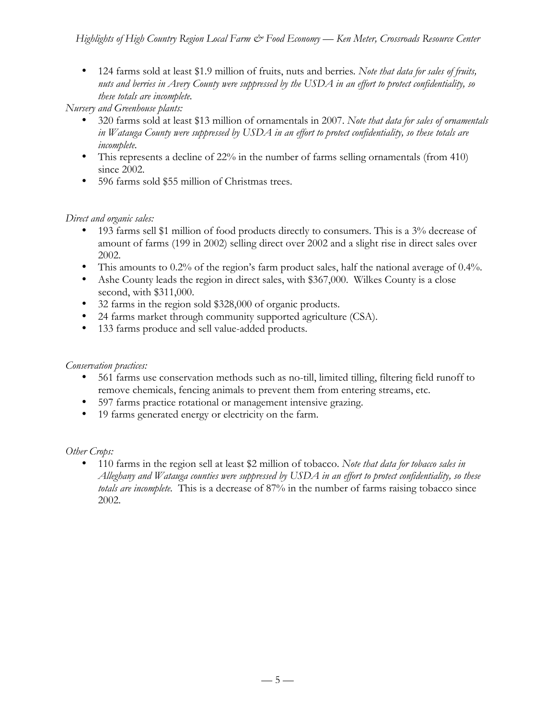• 124 farms sold at least \$1.9 million of fruits, nuts and berries*. Note that data for sales of fruits, nuts and berries in Avery County were suppressed by the USDA in an effort to protect confidentiality, so these totals are incomplete.*

*Nursery and Greenhouse plants:*

- 320 farms sold at least \$13 million of ornamentals in 2007. *Note that data for sales of ornamentals in Watauga County were suppressed by USDA in an effort to protect confidentiality, so these totals are incomplete.*
- This represents a decline of 22% in the number of farms selling ornamentals (from 410) since 2002.
- 596 farms sold \$55 million of Christmas trees.

# *Direct and organic sales:*

- 193 farms sell \$1 million of food products directly to consumers. This is a 3% decrease of amount of farms (199 in 2002) selling direct over 2002 and a slight rise in direct sales over 2002.
- This amounts to 0.2% of the region's farm product sales, half the national average of 0.4%.
- Ashe County leads the region in direct sales, with \$367,000.Wilkes County is a close second, with \$311,000.
- 32 farms in the region sold \$328,000 of organic products.
- 24 farms market through community supported agriculture (CSA).
- 133 farms produce and sell value-added products.

# *Conservation practices:*

- 561 farms use conservation methods such as no-till, limited tilling, filtering field runoff to remove chemicals, fencing animals to prevent them from entering streams, etc.
- 597 farms practice rotational or management intensive grazing.
- 19 farms generated energy or electricity on the farm.

# *Other Crops:*

• 110 farms in the region sell at least \$2 million of tobacco. *Note that data for tobacco sales in Alleghany and Watauga counties were suppressed by USDA in an effort to protect confidentiality, so these totals are incomplete.* This is a decrease of 87% in the number of farms raising tobacco since 2002.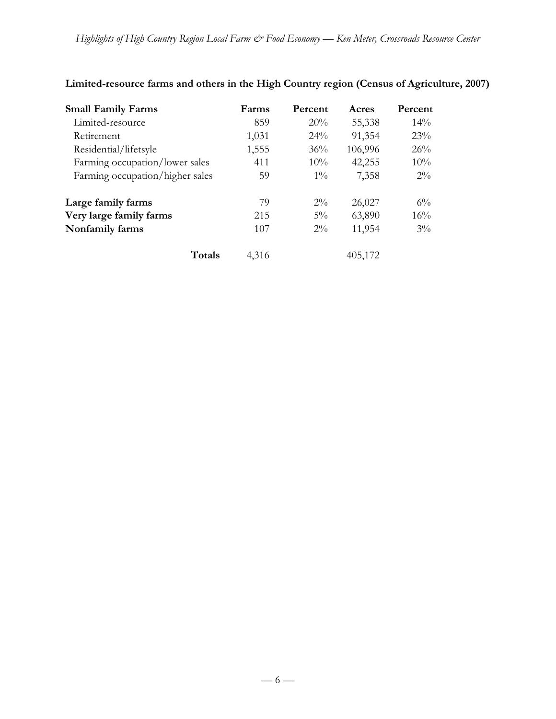| <b>Small Family Farms</b>       | Farms | Percent | Acres   | Percent |
|---------------------------------|-------|---------|---------|---------|
| Limited-resource                | 859   | 20%     | 55,338  | $14\%$  |
| Retirement                      | 1,031 | $24\%$  | 91,354  | 23%     |
| Residential/lifetsyle           | 1,555 | 36%     | 106,996 | 26%     |
| Farming occupation/lower sales  | 411   | 10%     | 42,255  | 10%     |
| Farming occupation/higher sales | 59    | $1\%$   | 7,358   | $2\%$   |
| Large family farms              | 79    | $2\%$   | 26,027  | $6\%$   |
| Very large family farms         | 215   | $5\%$   | 63,890  | 16%     |
| Nonfamily farms                 | 107   | $2\%$   | 11,954  | $3\%$   |
| <b>Totals</b>                   | 4,316 |         | 405,172 |         |

# **Limited-resource farms and others in the High Country region (Census of Agriculture, 2007)**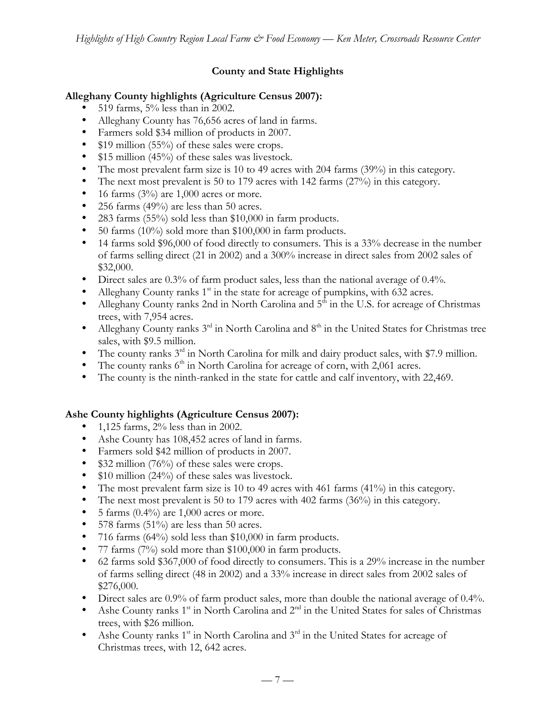# **County and State Highlights**

## **Alleghany County highlights (Agriculture Census 2007):**

- 519 farms, 5% less than in 2002.
- Alleghany County has 76,656 acres of land in farms.
- Farmers sold \$34 million of products in 2007.
- \$19 million (55%) of these sales were crops.
- \$15 million (45%) of these sales was livestock.
- The most prevalent farm size is 10 to 49 acres with 204 farms (39%) in this category.
- The next most prevalent is 50 to 179 acres with 142 farms (27%) in this category.
- 16 farms  $(3\%)$  are 1,000 acres or more.
- 256 farms (49%) are less than 50 acres.
- 283 farms (55%) sold less than \$10,000 in farm products.
- 50 farms (10%) sold more than \$100,000 in farm products.
- 14 farms sold \$96,000 of food directly to consumers. This is a 33% decrease in the number of farms selling direct (21 in 2002) and a 300% increase in direct sales from 2002 sales of \$32,000.
- Direct sales are 0.3% of farm product sales, less than the national average of 0.4%.
- Alleghany County ranks  $1<sup>st</sup>$  in the state for acreage of pumpkins, with 632 acres.
- Alleghany County ranks 2nd in North Carolina and  $5<sup>th</sup>$  in the U.S. for acreage of Christmas trees, with 7,954 acres.
- Alleghany County ranks  $3^{rd}$  in North Carolina and  $8^{th}$  in the United States for Christmas tree sales, with \$9.5 million.
- The county ranks  $3^{rd}$  in North Carolina for milk and dairy product sales, with \$7.9 million.
- The county ranks  $6<sup>th</sup>$  in North Carolina for acreage of corn, with 2,061 acres.
- The county is the ninth-ranked in the state for cattle and calf inventory, with 22,469.

# **Ashe County highlights (Agriculture Census 2007):**

- 1,125 farms,  $2\%$  less than in 2002.
- Ashe County has 108,452 acres of land in farms.
- Farmers sold \$42 million of products in 2007.
- \$32 million (76%) of these sales were crops.
- \$10 million (24%) of these sales was livestock.
- The most prevalent farm size is 10 to 49 acres with 461 farms (41%) in this category.
- The next most prevalent is 50 to 179 acres with 402 farms (36%) in this category.
- 5 farms  $(0.4\%)$  are 1,000 acres or more.
- 578 farms  $(51\%)$  are less than 50 acres.
- 716 farms (64%) sold less than \$10,000 in farm products.
- 77 farms (7%) sold more than \$100,000 in farm products.
- 62 farms sold \$367,000 of food directly to consumers. This is a 29% increase in the number of farms selling direct (48 in 2002) and a 33% increase in direct sales from 2002 sales of \$276,000.
- Direct sales are 0.9% of farm product sales, more than double the national average of 0.4%.
- Ashe County ranks  $1^{st}$  in North Carolina and  $2^{nd}$  in the United States for sales of Christmas trees, with \$26 million.
- Ashe County ranks  $1^{st}$  in North Carolina and  $3^{rd}$  in the United States for acreage of Christmas trees, with 12, 642 acres.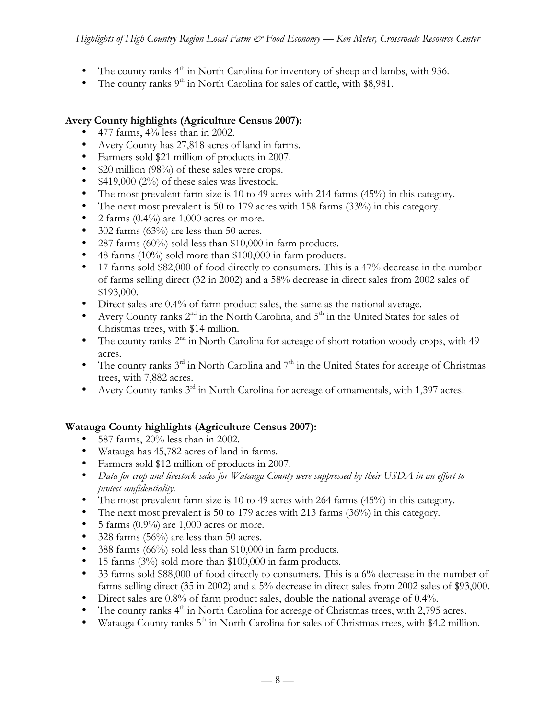- The county ranks  $4<sup>th</sup>$  in North Carolina for inventory of sheep and lambs, with 936.
- The county ranks 9<sup>th</sup> in North Carolina for sales of cattle, with \$8,981.

## **Avery County highlights (Agriculture Census 2007):**

- 477 farms, 4% less than in 2002.
- Avery County has 27,818 acres of land in farms.
- Farmers sold \$21 million of products in 2007.
- \$20 million (98%) of these sales were crops.
- \$419,000 (2%) of these sales was livestock.
- The most prevalent farm size is 10 to 49 acres with 214 farms (45%) in this category.
- The next most prevalent is 50 to 179 acres with 158 farms (33%) in this category.
- 2 farms  $(0.4\%)$  are 1,000 acres or more.
- 302 farms  $(63\%)$  are less than 50 acres.
- 287 farms (60%) sold less than \$10,000 in farm products.
- 48 farms (10%) sold more than \$100,000 in farm products.
- 17 farms sold \$82,000 of food directly to consumers. This is a 47% decrease in the number of farms selling direct (32 in 2002) and a 58% decrease in direct sales from 2002 sales of \$193,000.
- Direct sales are 0.4% of farm product sales, the same as the national average.
- Avery County ranks  $2^{nd}$  in the North Carolina, and  $5^{th}$  in the United States for sales of Christmas trees, with \$14 million.
- The county ranks  $2<sup>nd</sup>$  in North Carolina for acreage of short rotation woody crops, with 49 acres.
- The county ranks  $3<sup>rd</sup>$  in North Carolina and  $7<sup>th</sup>$  in the United States for acreage of Christmas trees, with 7,882 acres.
- Avery County ranks 3<sup>rd</sup> in North Carolina for acreage of ornamentals, with 1,397 acres.

# **Watauga County highlights (Agriculture Census 2007):**

- 587 farms, 20% less than in 2002.
- Watauga has 45,782 acres of land in farms.
- Farmers sold \$12 million of products in 2007.
- *Data for crop and livestock sales for Watauga County were suppressed by their USDA in an effort to protect confidentiality.*
- The most prevalent farm size is 10 to 49 acres with 264 farms (45%) in this category.
- The next most prevalent is 50 to 179 acres with 213 farms (36%) in this category.
- 5 farms  $(0.9\%)$  are 1,000 acres or more.
- 328 farms (56%) are less than 50 acres.
- 388 farms (66%) sold less than \$10,000 in farm products.
- 15 farms  $(3\%)$  sold more than \$100,000 in farm products.
- 33 farms sold \$88,000 of food directly to consumers. This is a 6% decrease in the number of farms selling direct (35 in 2002) and a 5% decrease in direct sales from 2002 sales of \$93,000.
- Direct sales are 0.8% of farm product sales, double the national average of 0.4%.
- The county ranks  $4<sup>th</sup>$  in North Carolina for acreage of Christmas trees, with 2,795 acres.
- Watauga County ranks 5<sup>th</sup> in North Carolina for sales of Christmas trees, with \$4.2 million.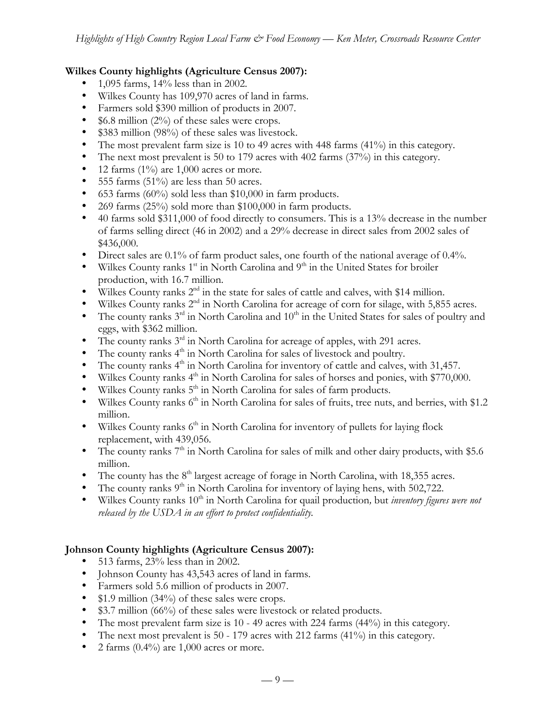## **Wilkes County highlights (Agriculture Census 2007):**

- 1,095 farms, 14% less than in 2002.
- Wilkes County has 109,970 acres of land in farms.
- Farmers sold \$390 million of products in 2007.
- \$6.8 million  $(2\%)$  of these sales were crops.
- \$383 million (98%) of these sales was livestock.
- The most prevalent farm size is 10 to 49 acres with 448 farms (41%) in this category.
- The next most prevalent is 50 to 179 acres with 402 farms (37%) in this category.
- 12 farms  $(1\%)$  are 1,000 acres or more.
- 555 farms  $(51\%)$  are less than 50 acres.
- 653 farms (60%) sold less than \$10,000 in farm products.
- 269 farms (25%) sold more than \$100,000 in farm products.
- 40 farms sold \$311,000 of food directly to consumers. This is a 13% decrease in the number of farms selling direct (46 in 2002) and a 29% decrease in direct sales from 2002 sales of \$436,000.
- Direct sales are 0.1% of farm product sales, one fourth of the national average of 0.4%.
- Wilkes County ranks  $1^{st}$  in North Carolina and  $9^{th}$  in the United States for broiler production, with 16.7 million.
- Wilkes County ranks 2<sup>nd</sup> in the state for sales of cattle and calves, with \$14 million.
- Wilkes County ranks 2<sup>nd</sup> in North Carolina for acreage of corn for silage, with 5,855 acres.
- The county ranks  $3^{rd}$  in North Carolina and  $10^{th}$  in the United States for sales of poultry and eggs, with \$362 million.
- The county ranks  $3<sup>rd</sup>$  in North Carolina for acreage of apples, with 291 acres.
- The county ranks  $4<sup>th</sup>$  in North Carolina for sales of livestock and poultry.
- The county ranks  $4<sup>th</sup>$  in North Carolina for inventory of cattle and calves, with 31,457.
- Wilkes County ranks 4<sup>th</sup> in North Carolina for sales of horses and ponies, with \$770,000.
- Wilkes County ranks  $5<sup>th</sup>$  in North Carolina for sales of farm products.
- Wilkes County ranks  $6<sup>th</sup>$  in North Carolina for sales of fruits, tree nuts, and berries, with \$1.2 million.
- Wilkes County ranks  $6<sup>th</sup>$  in North Carolina for inventory of pullets for laying flock replacement, with 439,056.
- The county ranks  $7<sup>th</sup>$  in North Carolina for sales of milk and other dairy products, with \$5.6 million.
- The county has the  $8<sup>th</sup>$  largest acreage of forage in North Carolina, with 18,355 acres.
- The county ranks  $9<sup>th</sup>$  in North Carolina for inventory of laying hens, with 502,722.
- Wilkes County ranks 10<sup>th</sup> in North Carolina for quail production, but *inventory figures were not released by the USDA in an effort to protect confidentiality.*

# **Johnson County highlights (Agriculture Census 2007):**

- 513 farms, 23% less than in 2002.
- Johnson County has 43,543 acres of land in farms.
- Farmers sold 5.6 million of products in 2007.
- \$1.9 million (34%) of these sales were crops.
- \$3.7 million (66%) of these sales were livestock or related products.
- The most prevalent farm size is 10 49 acres with 224 farms (44%) in this category.
- The next most prevalent is 50 179 acres with 212 farms (41%) in this category.
- 2 farms  $(0.4\%)$  are 1,000 acres or more.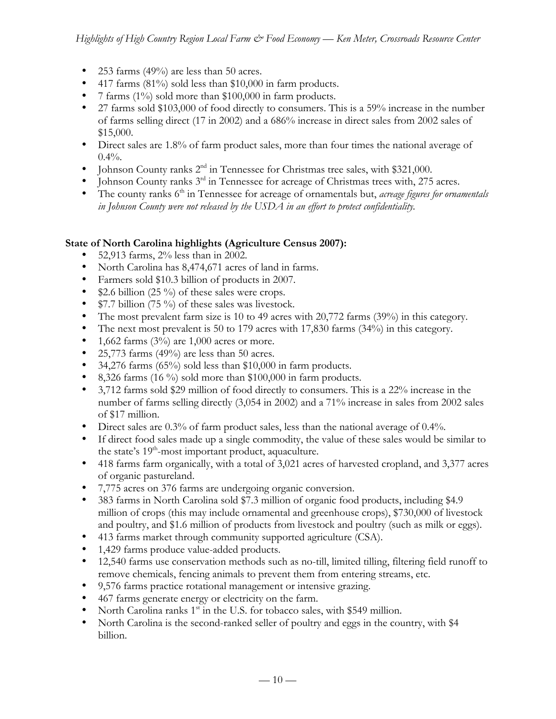- 253 farms  $(49\%)$  are less than 50 acres.
- 417 farms (81%) sold less than \$10,000 in farm products.
- 7 farms (1%) sold more than \$100,000 in farm products.
- 27 farms sold \$103,000 of food directly to consumers. This is a 59% increase in the number of farms selling direct (17 in 2002) and a 686% increase in direct sales from 2002 sales of \$15,000.
- Direct sales are 1.8% of farm product sales, more than four times the national average of  $0.4\%$ .
- Johnson County ranks  $2<sup>nd</sup>$  in Tennessee for Christmas tree sales, with \$321,000.
- Johnson County ranks 3rd in Tennessee for acreage of Christmas trees with, 275 acres.
- The county ranks 6<sup>th</sup> in Tennessee for acreage of ornamentals but, *acreage figures for ornamentals in Johnson County were not released by the USDA in an effort to protect confidentiality.*

## **State of North Carolina highlights (Agriculture Census 2007):**

- 52,913 farms, 2% less than in 2002.
- North Carolina has 8,474,671 acres of land in farms.
- Farmers sold \$10.3 billion of products in 2007.
- \$2.6 billion (25 %) of these sales were crops.
- \$7.7 billion (75 %) of these sales was livestock.
- The most prevalent farm size is 10 to 49 acres with 20,772 farms (39%) in this category.
- The next most prevalent is 50 to 179 acres with 17,830 farms (34%) in this category.
- 1,662 farms  $(3\%)$  are 1,000 acres or more.
- 25,773 farms (49%) are less than 50 acres.
- 34,276 farms  $(65\%)$  sold less than \$10,000 in farm products.
- 8,326 farms (16 %) sold more than \$100,000 in farm products.
- 3,712 farms sold \$29 million of food directly to consumers. This is a 22% increase in the number of farms selling directly (3,054 in 2002) and a 71% increase in sales from 2002 sales of \$17 million.
- Direct sales are 0.3% of farm product sales, less than the national average of 0.4%.
- If direct food sales made up a single commodity, the value of these sales would be similar to the state's  $19<sup>th</sup>$ -most important product, aquaculture.
- 418 farms farm organically, with a total of 3,021 acres of harvested cropland, and 3,377 acres of organic pastureland.
- 7,775 acres on 376 farms are undergoing organic conversion.
- 383 farms in North Carolina sold \$7.3 million of organic food products, including \$4.9 million of crops (this may include ornamental and greenhouse crops), \$730,000 of livestock and poultry, and \$1.6 million of products from livestock and poultry (such as milk or eggs).
- 413 farms market through community supported agriculture (CSA).
- 1,429 farms produce value-added products.
- 12,540 farms use conservation methods such as no-till, limited tilling, filtering field runoff to remove chemicals, fencing animals to prevent them from entering streams, etc.
- 9,576 farms practice rotational management or intensive grazing.
- 467 farms generate energy or electricity on the farm.
- North Carolina ranks  $1<sup>st</sup>$  in the U.S. for tobacco sales, with \$549 million.
- North Carolina is the second-ranked seller of poultry and eggs in the country, with \$4 billion.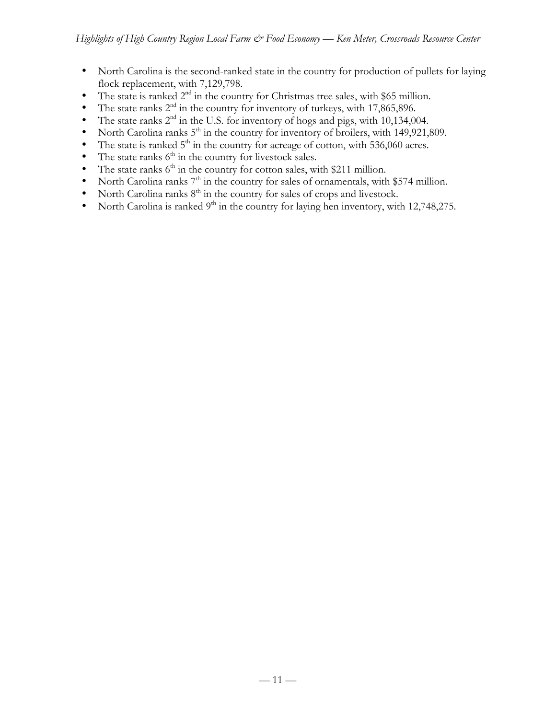- North Carolina is the second-ranked state in the country for production of pullets for laying flock replacement, with 7,129,798.
- The state is ranked  $2<sup>nd</sup>$  in the country for Christmas tree sales, with \$65 million.
- The state ranks  $2<sup>nd</sup>$  in the country for inventory of turkeys, with 17,865,896.
- The state ranks  $2<sup>nd</sup>$  in the U.S. for inventory of hogs and pigs, with 10,134,004.<br>• North Carolina ranks  $5<sup>th</sup>$  in the country for inventory of broilers, with 149,921.
- North Carolina ranks  $5<sup>th</sup>$  in the country for inventory of broilers, with 149,921,809.
- The state is ranked  $5<sup>th</sup>$  in the country for acreage of cotton, with 536,060 acres.<br>• The state ranks  $6<sup>th</sup>$  in the country for livestock sales.
- The state ranks  $6<sup>th</sup>$  in the country for livestock sales.
- The state ranks  $6<sup>th</sup>$  in the country for cotton sales, with \$211 million.<br>• North Carolina ranks  $7<sup>th</sup>$  in the country for sales of ornamentals, with
- North Carolina ranks  $7<sup>th</sup>$  in the country for sales of ornamentals, with \$574 million.
- North Carolina ranks  $8<sup>th</sup>$  in the country for sales of crops and livestock.
- North Carolina is ranked  $9<sup>th</sup>$  in the country for laying hen inventory, with 12,748,275.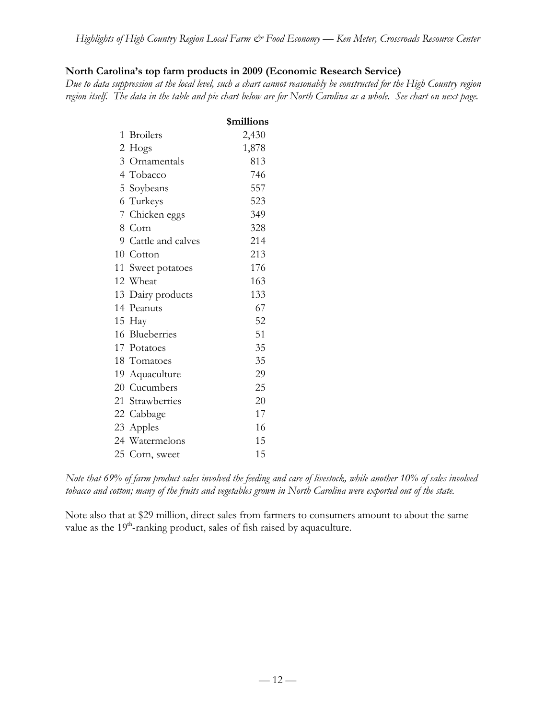#### **North Carolina's top farm products in 2009 (Economic Research Service)**

*Due to data suppression at the local level, such a chart cannot reasonably be constructed for the High Country region region itself. The data in the table and pie chart below are for North Carolina as a whole. See chart on next page.*

|              |                     | \$millions |
|--------------|---------------------|------------|
| $\mathbf{1}$ | <b>Broilers</b>     | 2,430      |
|              | 2 Hogs              | 1,878      |
|              | 3 Ornamentals       | 813        |
|              | 4 Tobacco           | 746        |
|              | 5 Soybeans          | 557        |
|              | 6 Turkeys           | 523        |
|              | 7 Chicken eggs      | 349        |
|              | 8 Corn              | 328        |
|              | 9 Cattle and calves | 214        |
|              | 10 Cotton           | 213        |
|              | 11 Sweet potatoes   | 176        |
|              | 12 Wheat            | 163        |
|              | 13 Dairy products   | 133        |
|              | 14 Peanuts          | 67         |
|              | 15 Hay              | 52         |
|              | 16 Blueberries      | 51         |
|              | 17 Potatoes         | 35         |
|              | 18 Tomatoes         | 35         |
|              | 19 Aquaculture      | 29         |
|              | 20 Cucumbers        | 25         |
|              | 21 Strawberries     | 20         |
|              | 22 Cabbage          | 17         |
|              | 23 Apples           | 16         |
|              | 24 Watermelons      | 15         |
|              | 25 Corn, sweet      | 15         |

*Note that 69% of farm product sales involved the feeding and care of livestock, while another 10% of sales involved tobacco and cotton; many of the fruits and vegetables grown in North Carolina were exported out of the state.*

Note also that at \$29 million, direct sales from farmers to consumers amount to about the same value as the 19<sup>th</sup>-ranking product, sales of fish raised by aquaculture.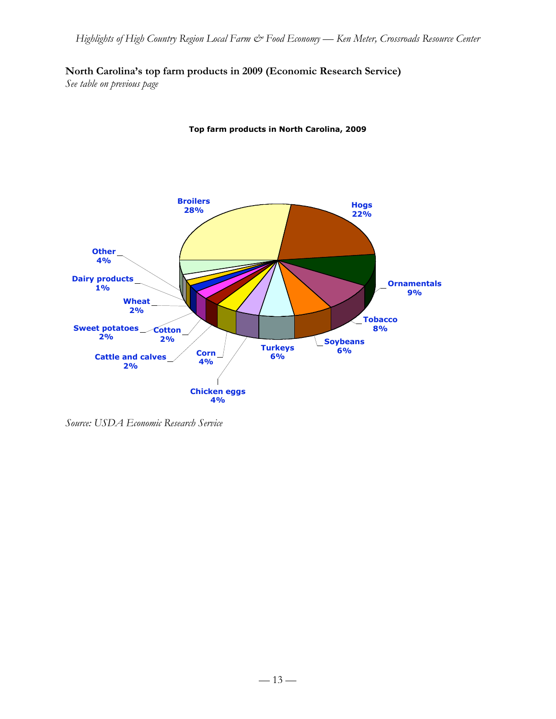**Top farm products in North Carolina, 2009**

**North Carolina's top farm products in 2009 (Economic Research Service)**

*See table on previous page*



*Source: USDA Economic Research Service*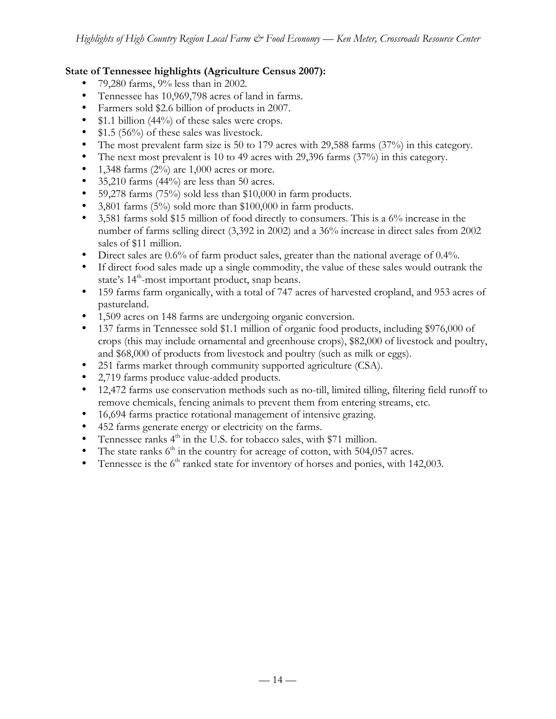## **State of Tennessee highlights (Agriculture Census 2007):**

- 79,280 farms, 9% less than in 2002.
- Tennessee has 10,969,798 acres of land in farms.
- Farmers sold \$2.6 billion of products in 2007.
- \$1.1 billion (44%) of these sales were crops.
- \$1.5 (56%) of these sales was livestock.
- The most prevalent farm size is 50 to 179 acres with 29,588 farms (37%) in this category.
- The next most prevalent is 10 to 49 acres with 29,396 farms (37%) in this category.
- 1,348 farms  $(2\%)$  are 1,000 acres or more.
- 35,210 farms (44%) are less than 50 acres.
- 59,278 farms (75%) sold less than \$10,000 in farm products.
- 3,801 farms (5%) sold more than \$100,000 in farm products.
- 3,581 farms sold \$15 million of food directly to consumers. This is a 6% increase in the number of farms selling direct (3,392 in 2002) and a 36% increase in direct sales from 2002 sales of \$11 million.
- Direct sales are 0.6% of farm product sales, greater than the national average of 0.4%.
- If direct food sales made up a single commodity, the value of these sales would outrank the state's 14<sup>th</sup>-most important product, snap beans.
- 159 farms farm organically, with a total of 747 acres of harvested cropland, and 953 acres of pastureland.
- 1,509 acres on 148 farms are undergoing organic conversion.
- 137 farms in Tennessee sold \$1.1 million of organic food products, including \$976,000 of crops (this may include ornamental and greenhouse crops), \$82,000 of livestock and poultry, and \$68,000 of products from livestock and poultry (such as milk or eggs).
- 251 farms market through community supported agriculture (CSA).
- 2,719 farms produce value-added products.
- 12,472 farms use conservation methods such as no-till, limited tilling, filtering field runoff to remove chemicals, fencing animals to prevent them from entering streams, etc.
- 16,694 farms practice rotational management of intensive grazing.
- 452 farms generate energy or electricity on the farms.
- Tennessee ranks  $4<sup>th</sup>$  in the U.S. for tobacco sales, with \$71 million.
- The state ranks  $6<sup>th</sup>$  in the country for acreage of cotton, with 504,057 acres.
- Tennessee is the  $6<sup>th</sup>$  ranked state for inventory of horses and ponies, with 142,003.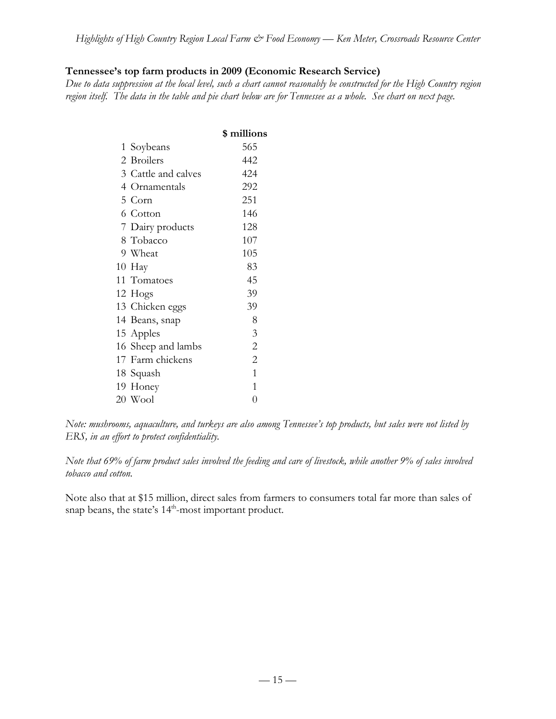## **Tennessee's top farm products in 2009 (Economic Research Service)**

*Due to data suppression at the local level, such a chart cannot reasonably be constructed for the High Country region region itself. The data in the table and pie chart below are for Tennessee as a whole. See chart on next page.*

|                     | \$ millions    |
|---------------------|----------------|
| 1 Soybeans          | 565            |
| 2 Broilers          | 442            |
| 3 Cattle and calves | 424            |
| 4 Ornamentals       | 292            |
| 5 Corn              | 251            |
| 6 Cotton            | 146            |
| 7 Dairy products    | 128            |
| 8 Tobacco           | 107            |
| 9 Wheat             | 105            |
| 10 Hay              | 83             |
| 11 Tomatoes         | 45             |
| 12 Hogs             | 39             |
| 13 Chicken eggs     | 39             |
| 14 Beans, snap      | 8              |
| 15 Apples           | 3              |
| 16 Sheep and lambs  | $\overline{2}$ |
| 17 Farm chickens    | $\overline{2}$ |
| 18 Squash           | 1              |
| 19 Honey            | 1              |
| 20 Wool             | $\overline{0}$ |

*Note: mushrooms, aquaculture, and turkeys are also among Tennessee's top products, but sales were not listed by ERS, in an effort to protect confidentiality.*

*Note that 69% of farm product sales involved the feeding and care of livestock, while another 9% of sales involved tobacco and cotton.*

Note also that at \$15 million, direct sales from farmers to consumers total far more than sales of snap beans, the state's 14<sup>th</sup>-most important product.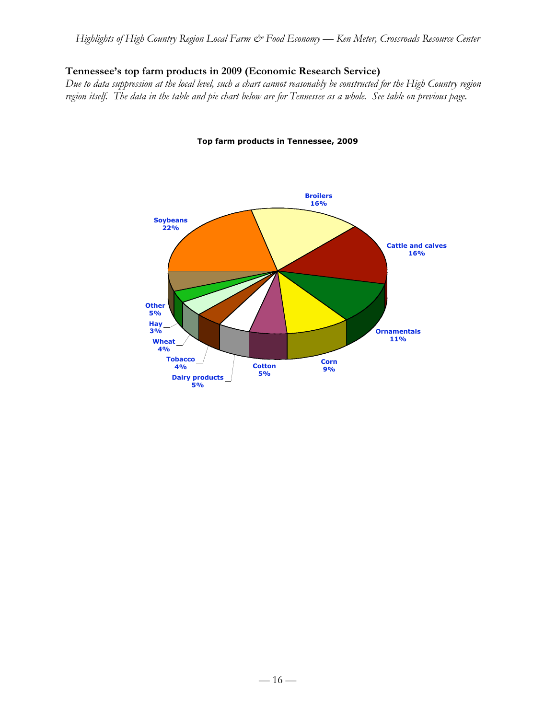# **Tennessee's top farm products in 2009 (Economic Research Service)**

*Due to data suppression at the local level, such a chart cannot reasonably be constructed for the High Country region region itself. The data in the table and pie chart below are for Tennessee as a whole. See table on previous page.*



#### **Top farm products in Tennessee, 2009**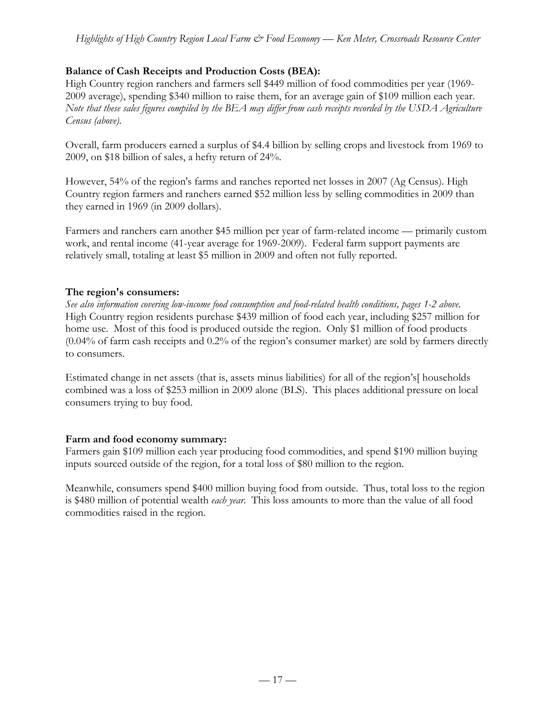# **Balance of Cash Receipts and Production Costs (BEA):**

High Country region ranchers and farmers sell \$449 million of food commodities per year (1969- 2009 average), spending \$340 million to raise them, for an average gain of \$109 million each year. *Note that these sales figures compiled by the BEA may differ from cash receipts recorded by the USDA Agriculture Census (above).*

Overall, farm producers earned a surplus of \$4.4 billion by selling crops and livestock from 1969 to 2009, on \$18 billion of sales, a hefty return of 24%.

However, 54% of the region's farms and ranches reported net losses in 2007 (Ag Census). High Country region farmers and ranchers earned \$52 million less by selling commodities in 2009 than they earned in 1969 (in 2009 dollars).

Farmers and ranchers earn another \$45 million per year of farm-related income — primarily custom work, and rental income (41-year average for 1969-2009). Federal farm support payments are relatively small, totaling at least \$5 million in 2009 and often not fully reported.

# **The region's consumers:**

*See also information covering low-income food consumption and food-related health conditions, pages 1-2 above.* High Country region residents purchase \$439 million of food each year, including \$257 million for home use. Most of this food is produced outside the region. Only \$1 million of food products (0.04% of farm cash receipts and 0.2% of the region's consumer market) are sold by farmers directly to consumers.

Estimated change in net assets (that is, assets minus liabilities) for all of the region's[ households combined was a loss of \$253 million in 2009 alone (BLS). This places additional pressure on local consumers trying to buy food.

# **Farm and food economy summary:**

Farmers gain \$109 million each year producing food commodities, and spend \$190 million buying inputs sourced outside of the region, for a total loss of \$80 million to the region.

Meanwhile, consumers spend \$400 million buying food from outside. Thus, total loss to the region is \$480 million of potential wealth *each year*. This loss amounts to more than the value of all food commodities raised in the region.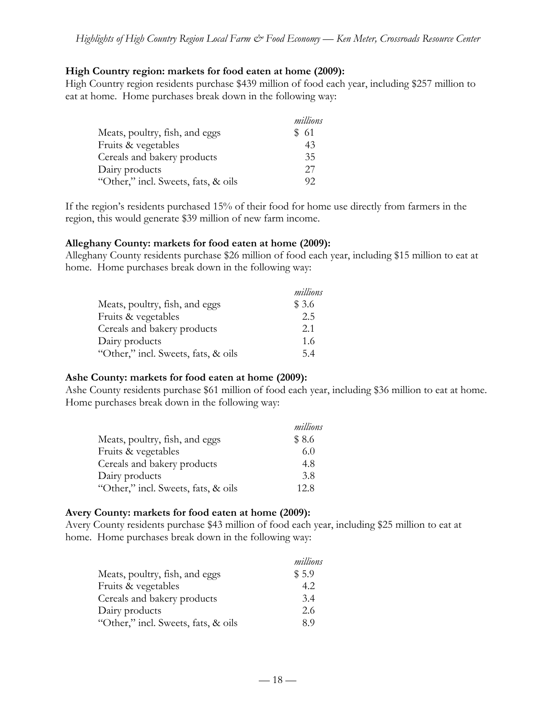#### **High Country region: markets for food eaten at home (2009):**

High Country region residents purchase \$439 million of food each year, including \$257 million to eat at home. Home purchases break down in the following way:

|                                     | millions |
|-------------------------------------|----------|
| Meats, poultry, fish, and eggs      | \$61     |
| Fruits & vegetables                 | 43       |
| Cereals and bakery products         | 35       |
| Dairy products                      | 27       |
| "Other," incl. Sweets, fats, & oils | 92       |

If the region's residents purchased 15% of their food for home use directly from farmers in the region, this would generate \$39 million of new farm income.

#### **Alleghany County: markets for food eaten at home (2009):**

Alleghany County residents purchase \$26 million of food each year, including \$15 million to eat at home. Home purchases break down in the following way:

|                                     | millions |
|-------------------------------------|----------|
| Meats, poultry, fish, and eggs      | \$ 3.6   |
| Fruits & vegetables                 | 2.5      |
| Cereals and bakery products         | 2.1      |
| Dairy products                      | 1.6      |
| "Other," incl. Sweets, fats, & oils | 54       |

#### **Ashe County: markets for food eaten at home (2009):**

Ashe County residents purchase \$61 million of food each year, including \$36 million to eat at home. Home purchases break down in the following way:

|                                     | millions |
|-------------------------------------|----------|
| Meats, poultry, fish, and eggs      | \$8.6    |
| Fruits & vegetables                 | 6.0      |
| Cereals and bakery products         | 4.8      |
| Dairy products                      | 3.8      |
| "Other," incl. Sweets, fats, & oils | 12.8     |

#### **Avery County: markets for food eaten at home (2009):**

Avery County residents purchase \$43 million of food each year, including \$25 million to eat at home. Home purchases break down in the following way:

|                                     | millions |
|-------------------------------------|----------|
| Meats, poultry, fish, and eggs      | \$5.9    |
| Fruits & vegetables                 | 4.2      |
| Cereals and bakery products         | 3.4      |
| Dairy products                      | 2.6      |
| "Other," incl. Sweets, fats, & oils | 89       |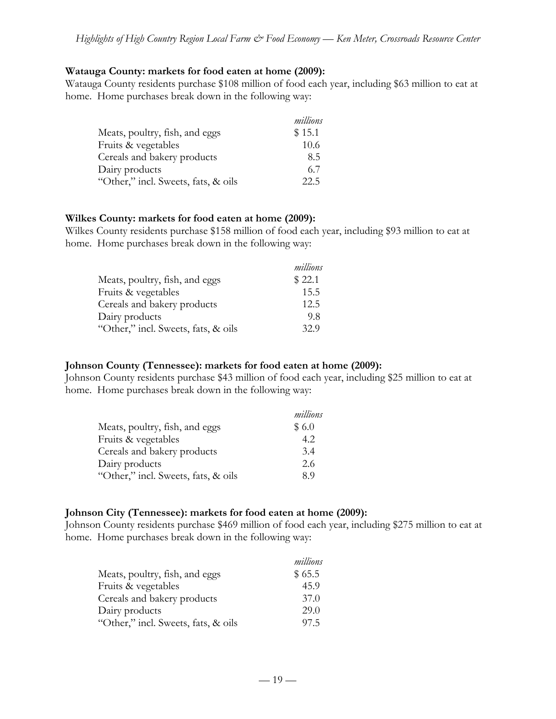#### **Watauga County: markets for food eaten at home (2009):**

Watauga County residents purchase \$108 million of food each year, including \$63 million to eat at home. Home purchases break down in the following way:

|                                     | millions |
|-------------------------------------|----------|
| Meats, poultry, fish, and eggs      | \$15.1   |
| Fruits & vegetables                 | 10.6     |
| Cereals and bakery products         | 8.5      |
| Dairy products                      | 6.7      |
| "Other," incl. Sweets, fats, & oils | 22.5     |

#### **Wilkes County: markets for food eaten at home (2009):**

Wilkes County residents purchase \$158 million of food each year, including \$93 million to eat at home. Home purchases break down in the following way:

|                                     | millions |
|-------------------------------------|----------|
| Meats, poultry, fish, and eggs      | \$22.1   |
| Fruits & vegetables                 | 15.5     |
| Cereals and bakery products         | 12.5     |
| Dairy products                      | 9.8      |
| "Other," incl. Sweets, fats, & oils | 32.9     |

#### **Johnson County (Tennessee): markets for food eaten at home (2009):**

Johnson County residents purchase \$43 million of food each year, including \$25 million to eat at home. Home purchases break down in the following way:

|                                     | millions |
|-------------------------------------|----------|
| Meats, poultry, fish, and eggs      | \$6.0    |
| Fruits & vegetables                 | 4.2      |
| Cereals and bakery products         | 3.4      |
| Dairy products                      | 2.6      |
| "Other," incl. Sweets, fats, & oils | 89       |

#### **Johnson City (Tennessee): markets for food eaten at home (2009):**

Johnson County residents purchase \$469 million of food each year, including \$275 million to eat at home. Home purchases break down in the following way:

|                                     | millions |
|-------------------------------------|----------|
| Meats, poultry, fish, and eggs      | \$65.5   |
| Fruits & vegetables                 | 45.9     |
| Cereals and bakery products         | 37.0     |
| Dairy products                      | 29.0     |
| "Other," incl. Sweets, fats, & oils | 97.5     |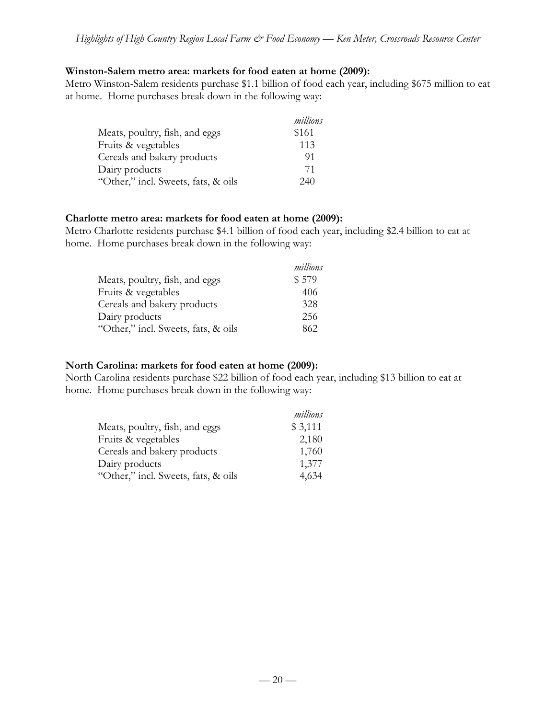#### **Winston-Salem metro area: markets for food eaten at home (2009):**

Metro Winston-Salem residents purchase \$1.1 billion of food each year, including \$675 million to eat at home. Home purchases break down in the following way:

|                                     | millions |
|-------------------------------------|----------|
| Meats, poultry, fish, and eggs      | \$161    |
| Fruits & vegetables                 | 113      |
| Cereals and bakery products         | 91       |
| Dairy products                      | 71       |
| "Other," incl. Sweets, fats, & oils | 240      |

#### **Charlotte metro area: markets for food eaten at home (2009):**

Metro Charlotte residents purchase \$4.1 billion of food each year, including \$2.4 billion to eat at home. Home purchases break down in the following way:

| millions |
|----------|
| \$579    |
| 406      |
| 328      |
| 256      |
| 862      |
|          |

#### **North Carolina: markets for food eaten at home (2009):**

North Carolina residents purchase \$22 billion of food each year, including \$13 billion to eat at home. Home purchases break down in the following way:

|                                     | millions |
|-------------------------------------|----------|
| Meats, poultry, fish, and eggs      | \$3,111  |
| Fruits & vegetables                 | 2,180    |
| Cereals and bakery products         | 1,760    |
| Dairy products                      | 1,377    |
| "Other," incl. Sweets, fats, & oils | 4,634    |